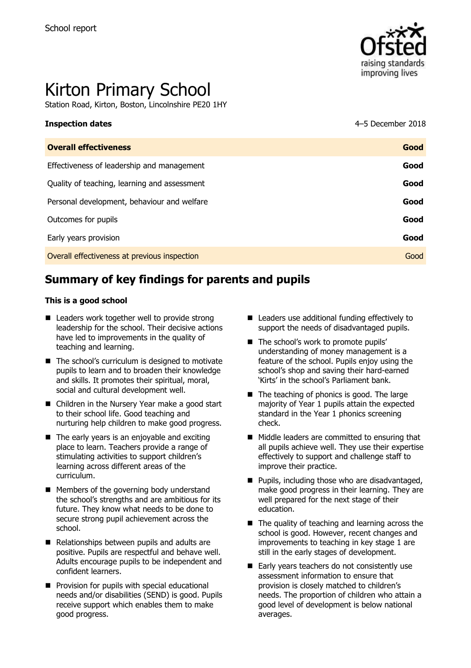

# Kirton Primary School

Station Road, Kirton, Boston, Lincolnshire PE20 1HY

**Inspection dates** 4–5 December 2018

| <b>Overall effectiveness</b>                 | Good |
|----------------------------------------------|------|
| Effectiveness of leadership and management   | Good |
| Quality of teaching, learning and assessment | Good |
| Personal development, behaviour and welfare  | Good |
| Outcomes for pupils                          | Good |
| Early years provision                        | Good |
| Overall effectiveness at previous inspection | Good |
|                                              |      |

# **Summary of key findings for parents and pupils**

#### **This is a good school**

- Leaders work together well to provide strong leadership for the school. Their decisive actions have led to improvements in the quality of teaching and learning.
- The school's curriculum is designed to motivate pupils to learn and to broaden their knowledge and skills. It promotes their spiritual, moral, social and cultural development well.
- Children in the Nursery Year make a good start to their school life. Good teaching and nurturing help children to make good progress.
- $\blacksquare$  The early years is an enjoyable and exciting place to learn. Teachers provide a range of stimulating activities to support children's learning across different areas of the curriculum.
- **Members of the governing body understand** the school's strengths and are ambitious for its future. They know what needs to be done to secure strong pupil achievement across the school.
- Relationships between pupils and adults are positive. Pupils are respectful and behave well. Adults encourage pupils to be independent and confident learners.
- **Provision for pupils with special educational** needs and/or disabilities (SEND) is good. Pupils receive support which enables them to make good progress.
- Leaders use additional funding effectively to support the needs of disadvantaged pupils.
- The school's work to promote pupils' understanding of money management is a feature of the school. Pupils enjoy using the school's shop and saving their hard-earned 'Kirts' in the school's Parliament bank.
- $\blacksquare$  The teaching of phonics is good. The large majority of Year 1 pupils attain the expected standard in the Year 1 phonics screening check.
- Middle leaders are committed to ensuring that all pupils achieve well. They use their expertise effectively to support and challenge staff to improve their practice.
- $\blacksquare$  Pupils, including those who are disadvantaged, make good progress in their learning. They are well prepared for the next stage of their education.
- $\blacksquare$  The quality of teaching and learning across the school is good. However, recent changes and improvements to teaching in key stage 1 are still in the early stages of development.
- Early years teachers do not consistently use assessment information to ensure that provision is closely matched to children's needs. The proportion of children who attain a good level of development is below national averages.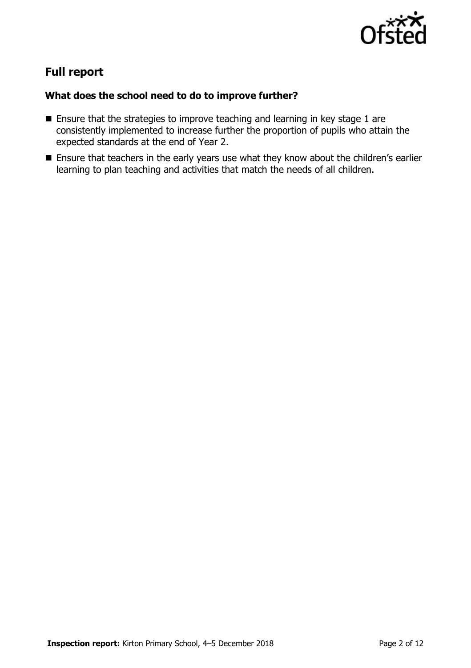

# **Full report**

### **What does the school need to do to improve further?**

- Ensure that the strategies to improve teaching and learning in key stage 1 are consistently implemented to increase further the proportion of pupils who attain the expected standards at the end of Year 2.
- **Ensure that teachers in the early years use what they know about the children's earlier** learning to plan teaching and activities that match the needs of all children.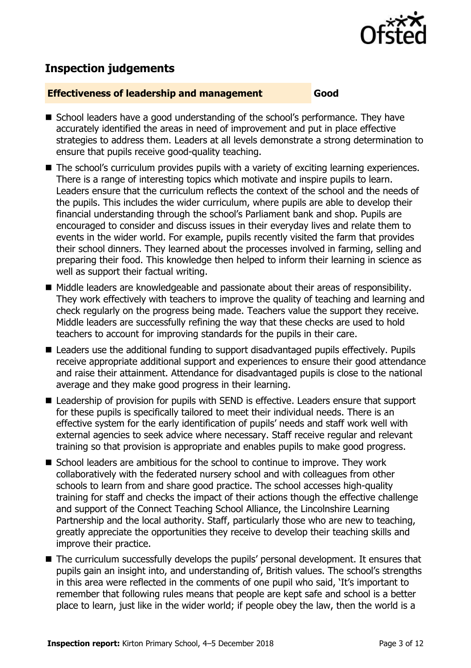

# **Inspection judgements**

#### **Effectiveness of leadership and management Good**

- School leaders have a good understanding of the school's performance. They have accurately identified the areas in need of improvement and put in place effective strategies to address them. Leaders at all levels demonstrate a strong determination to ensure that pupils receive good-quality teaching.
- The school's curriculum provides pupils with a variety of exciting learning experiences. There is a range of interesting topics which motivate and inspire pupils to learn. Leaders ensure that the curriculum reflects the context of the school and the needs of the pupils. This includes the wider curriculum, where pupils are able to develop their financial understanding through the school's Parliament bank and shop. Pupils are encouraged to consider and discuss issues in their everyday lives and relate them to events in the wider world. For example, pupils recently visited the farm that provides their school dinners. They learned about the processes involved in farming, selling and preparing their food. This knowledge then helped to inform their learning in science as well as support their factual writing.
- Middle leaders are knowledgeable and passionate about their areas of responsibility. They work effectively with teachers to improve the quality of teaching and learning and check regularly on the progress being made. Teachers value the support they receive. Middle leaders are successfully refining the way that these checks are used to hold teachers to account for improving standards for the pupils in their care.
- Leaders use the additional funding to support disadvantaged pupils effectively. Pupils receive appropriate additional support and experiences to ensure their good attendance and raise their attainment. Attendance for disadvantaged pupils is close to the national average and they make good progress in their learning.
- Leadership of provision for pupils with SEND is effective. Leaders ensure that support for these pupils is specifically tailored to meet their individual needs. There is an effective system for the early identification of pupils' needs and staff work well with external agencies to seek advice where necessary. Staff receive regular and relevant training so that provision is appropriate and enables pupils to make good progress.
- School leaders are ambitious for the school to continue to improve. They work collaboratively with the federated nursery school and with colleagues from other schools to learn from and share good practice. The school accesses high-quality training for staff and checks the impact of their actions though the effective challenge and support of the Connect Teaching School Alliance, the Lincolnshire Learning Partnership and the local authority. Staff, particularly those who are new to teaching, greatly appreciate the opportunities they receive to develop their teaching skills and improve their practice.
- The curriculum successfully develops the pupils' personal development. It ensures that pupils gain an insight into, and understanding of, British values. The school's strengths in this area were reflected in the comments of one pupil who said, 'It's important to remember that following rules means that people are kept safe and school is a better place to learn, just like in the wider world; if people obey the law, then the world is a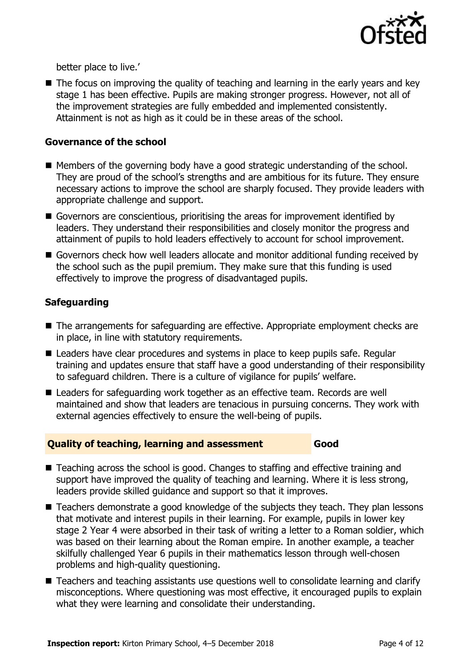

better place to live.'

■ The focus on improving the quality of teaching and learning in the early years and key stage 1 has been effective. Pupils are making stronger progress. However, not all of the improvement strategies are fully embedded and implemented consistently. Attainment is not as high as it could be in these areas of the school.

#### **Governance of the school**

- $\blacksquare$  Members of the governing body have a good strategic understanding of the school. They are proud of the school's strengths and are ambitious for its future. They ensure necessary actions to improve the school are sharply focused. They provide leaders with appropriate challenge and support.
- Governors are conscientious, prioritising the areas for improvement identified by leaders. They understand their responsibilities and closely monitor the progress and attainment of pupils to hold leaders effectively to account for school improvement.
- Governors check how well leaders allocate and monitor additional funding received by the school such as the pupil premium. They make sure that this funding is used effectively to improve the progress of disadvantaged pupils.

### **Safeguarding**

- The arrangements for safeguarding are effective. Appropriate employment checks are in place, in line with statutory requirements.
- Leaders have clear procedures and systems in place to keep pupils safe. Regular training and updates ensure that staff have a good understanding of their responsibility to safeguard children. There is a culture of vigilance for pupils' welfare.
- Leaders for safeguarding work together as an effective team. Records are well maintained and show that leaders are tenacious in pursuing concerns. They work with external agencies effectively to ensure the well-being of pupils.

#### **Quality of teaching, learning and assessment Good**

- Teaching across the school is good. Changes to staffing and effective training and support have improved the quality of teaching and learning. Where it is less strong, leaders provide skilled guidance and support so that it improves.
- Teachers demonstrate a good knowledge of the subjects they teach. They plan lessons that motivate and interest pupils in their learning. For example, pupils in lower key stage 2 Year 4 were absorbed in their task of writing a letter to a Roman soldier, which was based on their learning about the Roman empire. In another example, a teacher skilfully challenged Year 6 pupils in their mathematics lesson through well-chosen problems and high-quality questioning.
- Teachers and teaching assistants use questions well to consolidate learning and clarify misconceptions. Where questioning was most effective, it encouraged pupils to explain what they were learning and consolidate their understanding.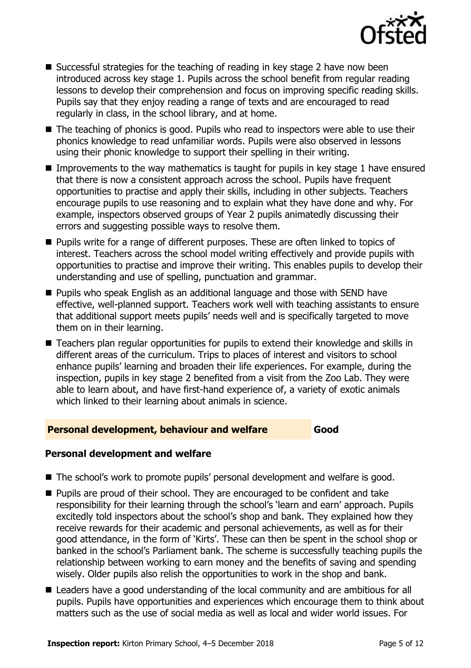

- $\blacksquare$  Successful strategies for the teaching of reading in key stage 2 have now been introduced across key stage 1. Pupils across the school benefit from regular reading lessons to develop their comprehension and focus on improving specific reading skills. Pupils say that they enjoy reading a range of texts and are encouraged to read regularly in class, in the school library, and at home.
- The teaching of phonics is good. Pupils who read to inspectors were able to use their phonics knowledge to read unfamiliar words. Pupils were also observed in lessons using their phonic knowledge to support their spelling in their writing.
- Improvements to the way mathematics is taught for pupils in key stage 1 have ensured that there is now a consistent approach across the school. Pupils have frequent opportunities to practise and apply their skills, including in other subjects. Teachers encourage pupils to use reasoning and to explain what they have done and why. For example, inspectors observed groups of Year 2 pupils animatedly discussing their errors and suggesting possible ways to resolve them.
- **Pupils write for a range of different purposes. These are often linked to topics of** interest. Teachers across the school model writing effectively and provide pupils with opportunities to practise and improve their writing. This enables pupils to develop their understanding and use of spelling, punctuation and grammar.
- Pupils who speak English as an additional language and those with SEND have effective, well-planned support. Teachers work well with teaching assistants to ensure that additional support meets pupils' needs well and is specifically targeted to move them on in their learning.
- Teachers plan regular opportunities for pupils to extend their knowledge and skills in different areas of the curriculum. Trips to places of interest and visitors to school enhance pupils' learning and broaden their life experiences. For example, during the inspection, pupils in key stage 2 benefited from a visit from the Zoo Lab. They were able to learn about, and have first-hand experience of, a variety of exotic animals which linked to their learning about animals in science.

### **Personal development, behaviour and welfare Good**

### **Personal development and welfare**

- The school's work to promote pupils' personal development and welfare is good.
- **Pupils are proud of their school. They are encouraged to be confident and take** responsibility for their learning through the school's 'learn and earn' approach. Pupils excitedly told inspectors about the school's shop and bank. They explained how they receive rewards for their academic and personal achievements, as well as for their good attendance, in the form of 'Kirts'. These can then be spent in the school shop or banked in the school's Parliament bank. The scheme is successfully teaching pupils the relationship between working to earn money and the benefits of saving and spending wisely. Older pupils also relish the opportunities to work in the shop and bank.
- Leaders have a good understanding of the local community and are ambitious for all pupils. Pupils have opportunities and experiences which encourage them to think about matters such as the use of social media as well as local and wider world issues. For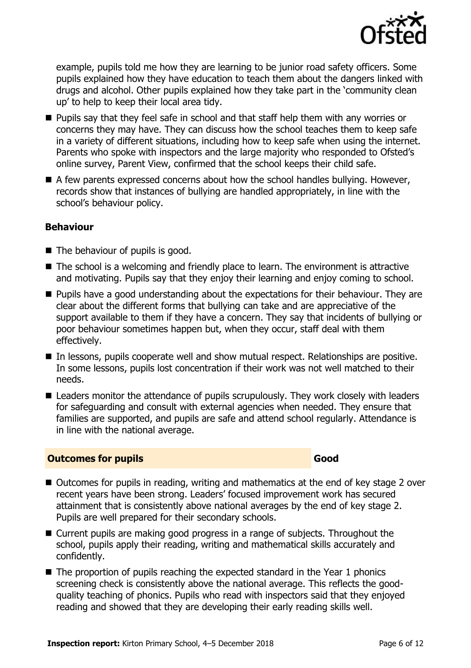

example, pupils told me how they are learning to be junior road safety officers. Some pupils explained how they have education to teach them about the dangers linked with drugs and alcohol. Other pupils explained how they take part in the 'community clean up' to help to keep their local area tidy.

- **Pupils say that they feel safe in school and that staff help them with any worries or** concerns they may have. They can discuss how the school teaches them to keep safe in a variety of different situations, including how to keep safe when using the internet. Parents who spoke with inspectors and the large majority who responded to Ofsted's online survey, Parent View, confirmed that the school keeps their child safe.
- $\blacksquare$  A few parents expressed concerns about how the school handles bullying. However, records show that instances of bullying are handled appropriately, in line with the school's behaviour policy.

#### **Behaviour**

- $\blacksquare$  The behaviour of pupils is good.
- The school is a welcoming and friendly place to learn. The environment is attractive and motivating. Pupils say that they enjoy their learning and enjoy coming to school.
- **Pupils have a good understanding about the expectations for their behaviour. They are** clear about the different forms that bullying can take and are appreciative of the support available to them if they have a concern. They say that incidents of bullying or poor behaviour sometimes happen but, when they occur, staff deal with them effectively.
- In lessons, pupils cooperate well and show mutual respect. Relationships are positive. In some lessons, pupils lost concentration if their work was not well matched to their needs.
- Leaders monitor the attendance of pupils scrupulously. They work closely with leaders for safeguarding and consult with external agencies when needed. They ensure that families are supported, and pupils are safe and attend school regularly. Attendance is in line with the national average.

### **Outcomes for pupils Good**

- Outcomes for pupils in reading, writing and mathematics at the end of key stage 2 over recent years have been strong. Leaders' focused improvement work has secured attainment that is consistently above national averages by the end of key stage 2. Pupils are well prepared for their secondary schools.
- Current pupils are making good progress in a range of subjects. Throughout the school, pupils apply their reading, writing and mathematical skills accurately and confidently.
- The proportion of pupils reaching the expected standard in the Year 1 phonics screening check is consistently above the national average. This reflects the goodquality teaching of phonics. Pupils who read with inspectors said that they enjoyed reading and showed that they are developing their early reading skills well.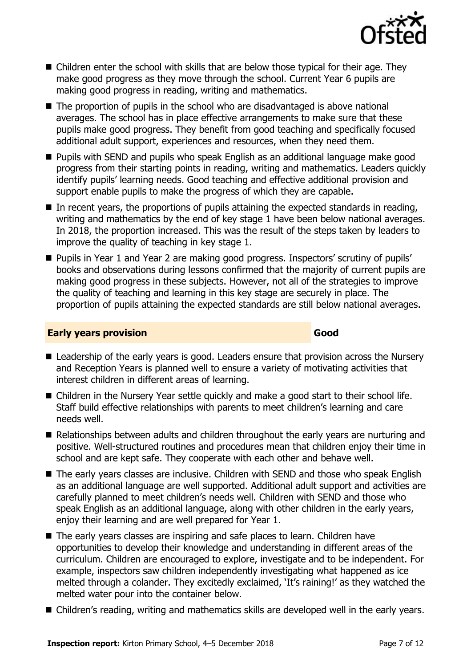

- Children enter the school with skills that are below those typical for their age. They make good progress as they move through the school. Current Year 6 pupils are making good progress in reading, writing and mathematics.
- The proportion of pupils in the school who are disadvantaged is above national averages. The school has in place effective arrangements to make sure that these pupils make good progress. They benefit from good teaching and specifically focused additional adult support, experiences and resources, when they need them.
- **Pupils with SEND and pupils who speak English as an additional language make good** progress from their starting points in reading, writing and mathematics. Leaders quickly identify pupils' learning needs. Good teaching and effective additional provision and support enable pupils to make the progress of which they are capable.
- $\blacksquare$  In recent vears, the proportions of pupils attaining the expected standards in reading, writing and mathematics by the end of key stage 1 have been below national averages. In 2018, the proportion increased. This was the result of the steps taken by leaders to improve the quality of teaching in key stage 1.
- Pupils in Year 1 and Year 2 are making good progress. Inspectors' scrutiny of pupils' books and observations during lessons confirmed that the majority of current pupils are making good progress in these subjects. However, not all of the strategies to improve the quality of teaching and learning in this key stage are securely in place. The proportion of pupils attaining the expected standards are still below national averages.

#### **Early years provision Good Good**

- Leadership of the early years is good. Leaders ensure that provision across the Nursery and Reception Years is planned well to ensure a variety of motivating activities that interest children in different areas of learning.
- Children in the Nursery Year settle quickly and make a good start to their school life. Staff build effective relationships with parents to meet children's learning and care needs well.
- Relationships between adults and children throughout the early years are nurturing and positive. Well-structured routines and procedures mean that children enjoy their time in school and are kept safe. They cooperate with each other and behave well.
- The early years classes are inclusive. Children with SEND and those who speak English as an additional language are well supported. Additional adult support and activities are carefully planned to meet children's needs well. Children with SEND and those who speak English as an additional language, along with other children in the early years, enjoy their learning and are well prepared for Year 1.
- The early years classes are inspiring and safe places to learn. Children have opportunities to develop their knowledge and understanding in different areas of the curriculum. Children are encouraged to explore, investigate and to be independent. For example, inspectors saw children independently investigating what happened as ice melted through a colander. They excitedly exclaimed, 'It's raining!' as they watched the melted water pour into the container below.
- Children's reading, writing and mathematics skills are developed well in the early vears.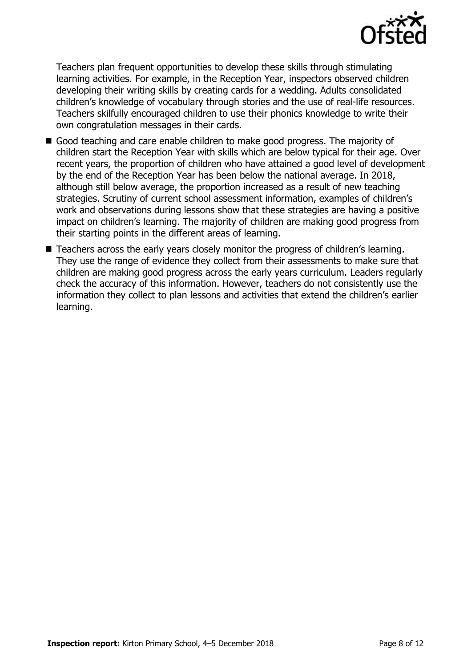

Teachers plan frequent opportunities to develop these skills through stimulating learning activities. For example, in the Reception Year, inspectors observed children developing their writing skills by creating cards for a wedding. Adults consolidated children's knowledge of vocabulary through stories and the use of real-life resources. Teachers skilfully encouraged children to use their phonics knowledge to write their own congratulation messages in their cards.

- Good teaching and care enable children to make good progress. The majority of children start the Reception Year with skills which are below typical for their age. Over recent years, the proportion of children who have attained a good level of development by the end of the Reception Year has been below the national average. In 2018, although still below average, the proportion increased as a result of new teaching strategies. Scrutiny of current school assessment information, examples of children's work and observations during lessons show that these strategies are having a positive impact on children's learning. The majority of children are making good progress from their starting points in the different areas of learning.
- Teachers across the early years closely monitor the progress of children's learning. They use the range of evidence they collect from their assessments to make sure that children are making good progress across the early years curriculum. Leaders regularly check the accuracy of this information. However, teachers do not consistently use the information they collect to plan lessons and activities that extend the children's earlier learning.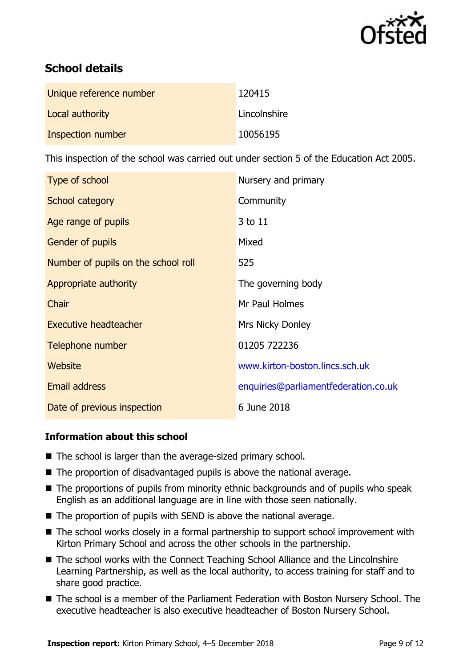

# **School details**

| Unique reference number | 120415       |
|-------------------------|--------------|
| Local authority         | Lincolnshire |
| Inspection number       | 10056195     |

This inspection of the school was carried out under section 5 of the Education Act 2005.

| Type of school                      | Nursery and primary                  |
|-------------------------------------|--------------------------------------|
| School category                     | Community                            |
| Age range of pupils                 | 3 to 11                              |
| <b>Gender of pupils</b>             | Mixed                                |
| Number of pupils on the school roll | 525                                  |
| Appropriate authority               | The governing body                   |
| Chair                               | Mr Paul Holmes                       |
| <b>Executive headteacher</b>        | <b>Mrs Nicky Donley</b>              |
| Telephone number                    | 01205 722236                         |
| Website                             | www.kirton-boston.lincs.sch.uk       |
| Email address                       | enquiries@parliamentfederation.co.uk |
| Date of previous inspection         | 6 June 2018                          |

### **Information about this school**

- The school is larger than the average-sized primary school.
- The proportion of disadvantaged pupils is above the national average.
- The proportions of pupils from minority ethnic backgrounds and of pupils who speak English as an additional language are in line with those seen nationally.
- The proportion of pupils with SEND is above the national average.
- The school works closely in a formal partnership to support school improvement with Kirton Primary School and across the other schools in the partnership.
- The school works with the Connect Teaching School Alliance and the Lincolnshire Learning Partnership, as well as the local authority, to access training for staff and to share good practice.
- The school is a member of the Parliament Federation with Boston Nursery School. The executive headteacher is also executive headteacher of Boston Nursery School.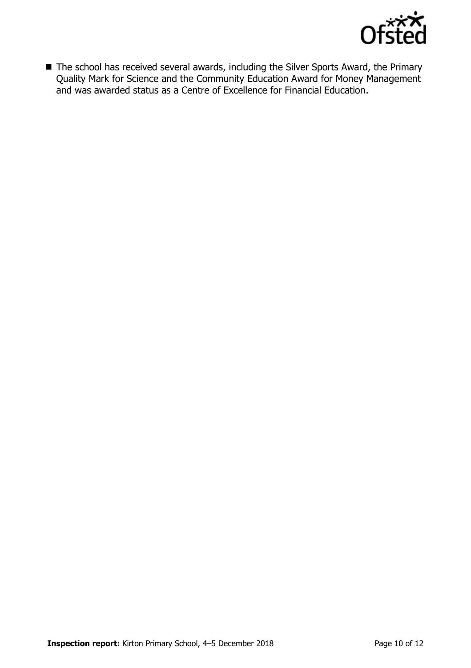

■ The school has received several awards, including the Silver Sports Award, the Primary Quality Mark for Science and the Community Education Award for Money Management and was awarded status as a Centre of Excellence for Financial Education.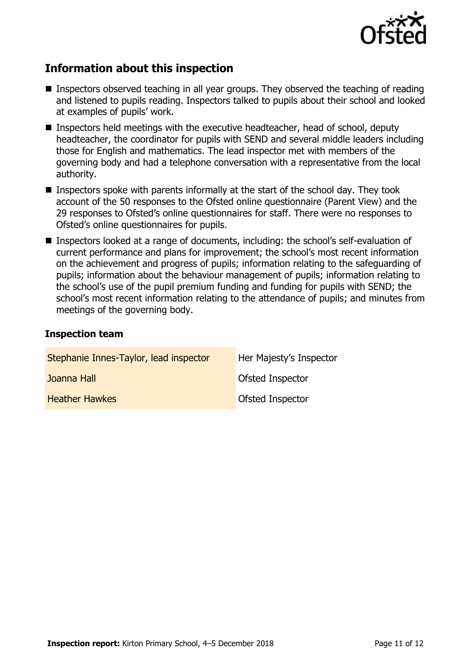

## **Information about this inspection**

- Inspectors observed teaching in all year groups. They observed the teaching of reading and listened to pupils reading. Inspectors talked to pupils about their school and looked at examples of pupils' work.
- Inspectors held meetings with the executive headteacher, head of school, deputy headteacher, the coordinator for pupils with SEND and several middle leaders including those for English and mathematics. The lead inspector met with members of the governing body and had a telephone conversation with a representative from the local authority.
- **Inspectors spoke with parents informally at the start of the school day. They took** account of the 50 responses to the Ofsted online questionnaire (Parent View) and the 29 responses to Ofsted's online questionnaires for staff. There were no responses to Ofsted's online questionnaires for pupils.
- Inspectors looked at a range of documents, including: the school's self-evaluation of current performance and plans for improvement; the school's most recent information on the achievement and progress of pupils; information relating to the safeguarding of pupils; information about the behaviour management of pupils; information relating to the school's use of the pupil premium funding and funding for pupils with SEND; the school's most recent information relating to the attendance of pupils; and minutes from meetings of the governing body.

#### **Inspection team**

| Stephanie Innes-Taylor, lead inspector | Her Majesty's Inspector |
|----------------------------------------|-------------------------|
| Joanna Hall                            | Ofsted Inspector        |
| <b>Heather Hawkes</b>                  | Ofsted Inspector        |